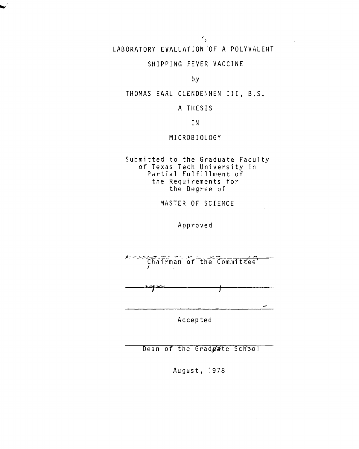## LABORATORY EVALUATION OF A POLYVALENT

 $\hat{\mathcal{S}}_{\frac{1}{2}}$ 

#### SHIPPING FEVER VACCINE

#### by

THOMAS EARL CLENDENNEN III, B.S.

#### A THESIS

IN

#### MICROBIOLOGY

Submitted to the Graduate Faculty of Texas Tech University in Partial Fulfillment of the Requirements for the Degree of

MASTER OF SCIENCE

Approved

Chairman of the Committee

Accepted

Dean of the Grad ate School

August, 1978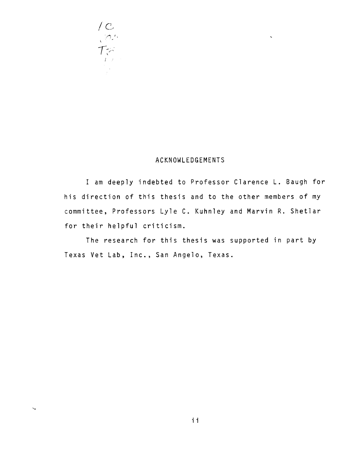

#### ACKNOWLEDGEMENTS

 $\bar{\mathbf{v}}$ 

I am deeply indebted to Professor Clarence L. Baugh for his direction of this thesis and to the other members of my committee, Professors Lyle C. Kuhnley and Marvin R. Shetlar for their helpful criticism.

The research for this thesis was supported in part by Texas Vet Lab, Inc., San Angelo, Texas.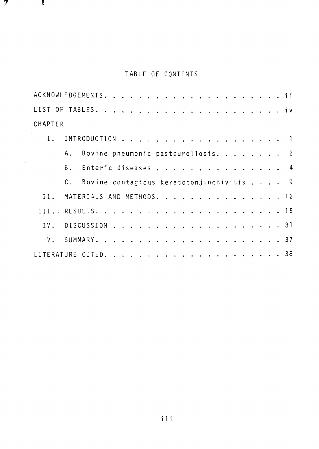## TABLE OF CONTENTS

 $\mathcal{L}$   $\mathcal{R}$ 

| CHAPTER                       |                                             |  |  |  |  |  |  |  |  |  |  |  |
|-------------------------------|---------------------------------------------|--|--|--|--|--|--|--|--|--|--|--|
|                               |                                             |  |  |  |  |  |  |  |  |  |  |  |
|                               | A. Bovine pneumonic pasteurellosis. 2       |  |  |  |  |  |  |  |  |  |  |  |
|                               | B. Enteric diseases 4                       |  |  |  |  |  |  |  |  |  |  |  |
|                               | C. Bovine contagious keratoconjunctivitis 9 |  |  |  |  |  |  |  |  |  |  |  |
| II. MATERIALS AND METHODS. 12 |                                             |  |  |  |  |  |  |  |  |  |  |  |
|                               |                                             |  |  |  |  |  |  |  |  |  |  |  |
|                               |                                             |  |  |  |  |  |  |  |  |  |  |  |
|                               |                                             |  |  |  |  |  |  |  |  |  |  |  |
|                               |                                             |  |  |  |  |  |  |  |  |  |  |  |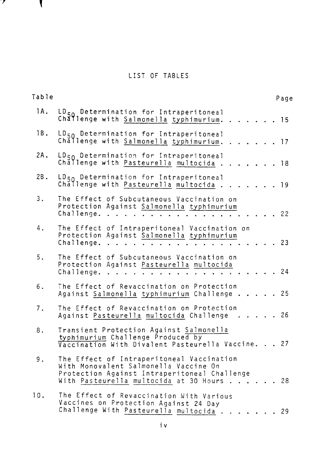### LIST OF TABLES

 $\mathbf{y}$ 

 $\mathbf{I}$ 

| Table |                                                                                                                                                                              | Page |
|-------|------------------------------------------------------------------------------------------------------------------------------------------------------------------------------|------|
| 1A.   | LD <sub>50</sub> Determination for Intraperitoneal<br>Challenge with Salmonella typhimurium.                                                                                 | 15   |
| 1B.   | LD <sub>50</sub> Determination for Intraperitoneal<br>Chăllenge with Salmonella typhimurium.<br>. 17                                                                         |      |
| 2A.   | $LD_{50}$ Determination for Intraperitoneal<br>Challenge with Pasteurella multocida.<br>. 18                                                                                 |      |
| 2B.   | LD <sub>50</sub> Determination for Intraperitoneal<br>Challenge with Pasteurella multocida.                                                                                  | - 19 |
| 3.    | The Effect of Subcutaneous Vaccination on<br>Protection Against Salmonella typhimurium<br>Challenge.                                                                         | 22   |
| 4.    | The Effect of Intraperitoneal Vaccination on<br>Protection Against Salmonella typhimurium<br>Challenge.                                                                      | 23   |
| 5.    | The Effect of Subcutaneous Vaccination on<br>Protection Against Pasteurella multocida<br>Challenge.                                                                          | 24   |
| 6.    | The Effect of Revaccination on Protection<br>Against Salmonella typhimurium Challenge 25                                                                                     |      |
| 7.    | The Effect of Revaccination on Protection<br>. 26<br>Against Pasteurella multocida Challenge                                                                                 |      |
| 8.    | Transient Protection Against Salmonella<br>typhimurium Challenge Produced by<br>Vaccination With Divalent Pasteurella Vaccine. 27                                            |      |
| 9.    | The Effect of Intraperitoneal Vaccination<br>With Monovalent Salmonella Vaccine On<br>Protection Against Intraperitoneal Challenge<br>With Pasteurella multocida at 30 Hours | 28   |
| 10.   | The Effect of Revaccination With Various<br>Vaccines on Protection Against 24 Day<br>Challenge With Pasteurella multocida.                                                   | - 29 |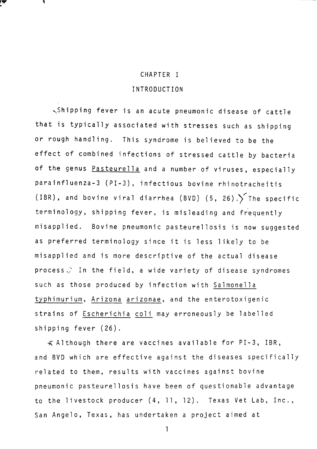## CHAPTER I INTRODUCTION

~Shipping fever is an acute pneumonic disease of cattle that is typically associated with stresses such as shipping or rough handling. This syndrome is believed to be the effect of combined infections of stressed cattle by bacteria of the genus Pasteurella and a number of viruses, especially parainfluenza-3 (PI-3), infectious bovine rhinotracheitis (IBR), and bovine viral diarrhea (BVD) (5, 26). The specific terminology, shipping fever, is misleading and frequently misapplied. Bovine pneumonic pasteurellosis is now suggested as preferred terminology since it is less likely to be misapplied and is more descriptive of the actual disease process.) In the field, a wide variety of disease syndromes such as those produced by infection with Salmonella typhimurium, Arizona arizonae, and the enterotoxigenic strains of Escherichia coli may erroneously be labelled shipping fever (26).

 $\lessapprox$  Although there are vaccines available for PI-3, IBR, and BVD which are effective against the diseases specifically related to them, results with vaccines against bovine pneumonic pasteurellosis have been of questionable advantage to the livestock producer (4, 11, 12). Texas Vet Lab, Inc., San Angelo, Texas, has undertaken a project aimed at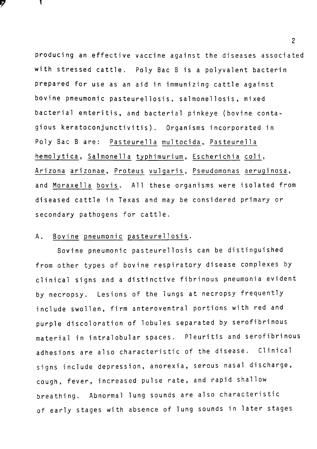producing an effective vaccine against the diseases associated with stressed cattle. Poly Bae B is a polyvalent bacterin prepared for use as an aid in immunizing cattle against bovine pneumonic pasteurellosis, salmonellosis, mixed bacterial enteritis, and bacterial pinkeye (bovine contagious keratoconjunctivitis). Organisms incorporated in Poly Bac B are: Pasteurella multocida, Pasteurella hemolytica, Salmonella typhimurium, Escherichia coli, Arizona arizonae, Proteus vulgaris, Pseudomonas aeruginosa, and Moraxella bovis. All these organisms were isolated from diseased cattle in Texas and may be considered primary or secondary pathogens for cattle.

#### A. Bovine pneumonic pasteurellosis.

Bovine pneumonic pasteurellosis can be distinguished from other types of bovine respiratory disease complexes by clinical signs and a distinctive fibrinous pneumonia evident by necropsy. Lesions of the lungs at necropsy frequently include swollen, firm anteroventral portions with red and purple discoloration of lobules separated by serofibrinous material in intralobular spaces. Pleuritis and serofibrinous adhesions are also characteristic of the disease. Clinical signs include depression, anorexia, serous nasal discharge, cough, fever, increased pulse rate, and rapid shallow breathing. Abnormal lung sounds are also characteristic of early stages with absence of lung sounds in later stages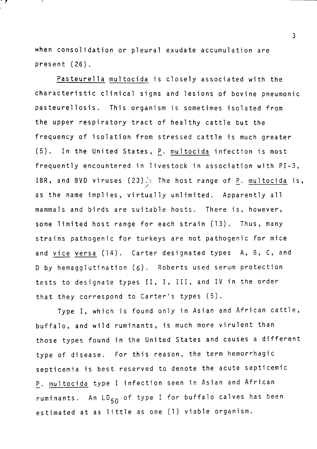when consolidation or pleural exudate accumulation are present (26).

 $\mathcal{F}$ 

Pasteurella multocida is closely associated with the characteristic clinical signs and lesions of bovine pneumonic pasteurellosis. This organism is sometimes isolated from the upper respiratory tract of healthy cattle but the frequency of isolation from stressed cattle is much greater (5). In the United States, P. multocida infection is most frequently encountered in livestock in association with PI-3, IBR, and BVD viruses (23) $\rightarrow$  The host range of <u>P</u>. <u>multocida</u> is, as the name implies, virtually unlimited. Apparently all mammals and birds are suitable hosts. There is, however, some limited host range for each strain (13). Thus, many strains pathogenic for turkeys are not pathogenic for mice and vice versa (14). Carter designated types A, B, C, and D by hemagglutination (6). Roberts used serum protection tests to designate types II, I, III, and IV in the order that they correspond to Carter's types (5).

Type I, which is found only in Asian and African cattle, buffalo, and wild ruminants, is much more virulent than those types found in the United States and causes a different type of disease. For this reason, the term hemorrhagic septicemia is best reserved to denote the acute septicemic P. multocida type I infection seen in Asian and African ruminants. An LD<sub>50</sub> of type I for buffalo calves has been estimated at as little as one (1) viable organism.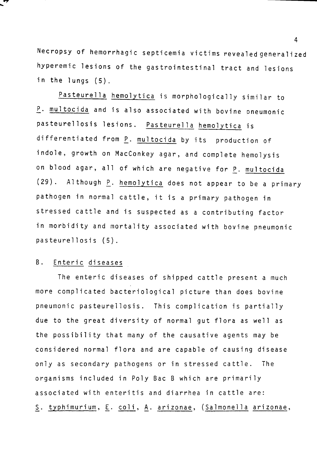Necropsy of hemorrhagic septicemia victims revealed generalized hyperemic lesions of the gastrointestinal tract and lesions in the lungs (5).

Pasteurella hemolytica is morphologically similar to P. multocida and is also associated with bovine oneumonic pasteurellosis lesions. Pasteurella hemolytica is differentiated from P. multocida by its production of indole, growth on MacConkey agar, and complete hemolysis on blood agar, all of which are negative for P. multocida  $(29)$ . Although  $P$ . hemolytica does not appear to be a primary pathogen in normal cattle, it is a primary pathogen in stressed cattle and is suspected as a contributing factor in morbidity and mortality associated with bovine pneumonic pasteurellosis (5).

#### B. Enteric diseases

The enteric diseases of shipped cattle present a much more complicated bacteriological picture than does bovine pneumonic pasteurellosis. This complication is partially due to the great diversity of normal gut flora as well as the possibility that many of the causative agents may be considered normal flora and are capable of causing disease only as secondary pathogens or in stressed cattle. The organisms included in Poly Bae B which are primarily associated with enteritis and diarrhea in cattle are: S. typhimurium, E. coli, A. arizonae, (Salmonella arizonae,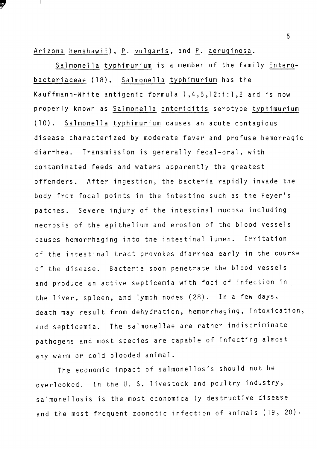Arizona henshawii), P. vulgaris, and P. aeruginosa.

Salmonella typhimurium is a member of the family Enterobacteriaceae (18). Salmonella typhimurium has the Kauffmann-White antigenic formula l ,4,5,12:i:l ,2 and is now properly known as Salmonella enteriditis serotype typhimurium (10). Salmonella typhimurium causes an acute contagious disease characterized by moderate fever and profuse hemorragic diarrhea. Transmission is generally fecal-oral, with contaminated feeds and waters apparently the greatest offenders. After ingestion, the bacteria rapidly invade the body from focal points in the intestine such as the Peyer's patches. Severe injury of the intestinal mucosa including necrosis of the epithelium and erosion of the blood vessels causes hemorrhaging into the intestinal lumen. Irritation of the intestinal tract provokes diarrhea early in the course of the disease. Bacteria soon penetrate the blood vessels and produce an active septicemia with foci of infection in the liver, spleen, and lymph nodes (28). In a few days, death may result from dehydration, hemorrhaging, intoxication, and septicemia. The salmonellae are rather indiscriminate pathogens and most species are capable of infecting almost any warm or cold blooded animal.

The economic impact of salmonellosis should not be overlooked. In the U. S. livestock and poultry industry, salmonellosis is the most economically destructive disease and the most frequent zoonotic infection of animals  $(19, 20)$ .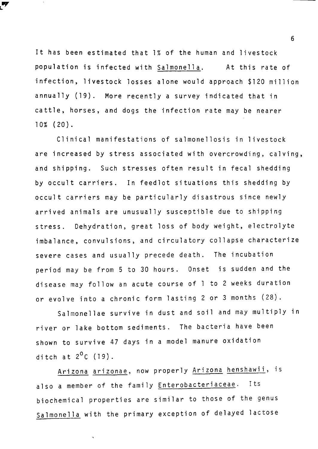It has been estimated that 1% of the human and livestock population is infected with Salmonella. At this rate of infection, livestock losses alone would approach \$120 million annually (19). More recently a survey indicated that in cattle, horses, and dogs the infection rate may be nearer 10% (20).

Clinical manifestations of salmonellosis in livestock are increased by stress associated with overcrowding, calving, and shipping. Such stresses often result in fecal shedding by occult carriers. In feedlot situations this shedding by occult carriers may be particularly disastrous since newly arrived animals are unusually susceptible due to shipping stress. Dehydration, great loss of body weight, electrolyte imbalance, convulsions, and circulatory collapse characterize severe cases and usually precede death. The incubation period may be from 5 to 30 hours. Onset is sudden and the disease may follow an acute course of l to 2 weeks duration or evolve into a chronic form lasting 2 or 3 months (28).

Salmonellae survive in dust and soil and may multiply in river or lake bottom sediments. The bacteria have been shown to survive 47 days in a model manure oxidation ditch at  $2^0C$  (19).

Arizona arizonae, now properly Arizona henshawii, is also a member of the family Enterobacteriaceae. Its biochemical properties are similar to those of the genus Salmonella with the primary exception of delayed lactose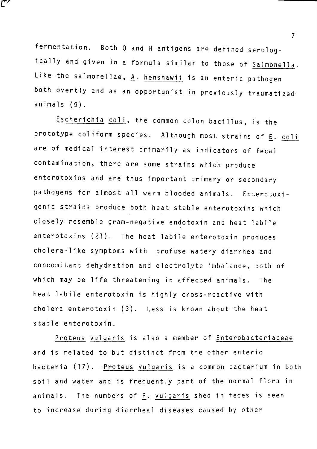fermentation. Both 0 and H antigens are defined serologically and given in a formula similar to those of Salmonella. Like the salmonellae, A. henshawii is an enteric pathogen both overtly and as an opportunist in previously traumatized animals (9).

Escherichia coli, the common colon bacillus, is the prototype coliform species. Although most strains of  $E.$  coli are of medical interest primarily as indicators of fecal contamination, there are some strains which produce enterotoxins and are thus important primary or secondary pathogens for almost all warm blooded animals. Enterotoxigenic strains produce both heat stable enterotoxins which closely resemble gram-negative endotoxin and heat labile enterotoxins (21). The heat labile enterotoxin produces cholera-like symptoms with profuse watery diarrhea and concomitant dehydration and electrolyte imbalance, both of which may be life threatening in affected animals. The heat labile enterotoxin is highly cross-reactive with cholera enterotoxin (3). Less is known about the heat stable enterotoxin.

Proteus vulgaris is also a member of Enterobacteriaceae and is related to but distinct from the other enteric bacteria (17). Proteus vulgaris is a common bacterium in both soil and water and is frequently part of the normal flora in animals. The numbers of P. vulgaris shed in feces is seen to increase during diarrheal diseases caused by other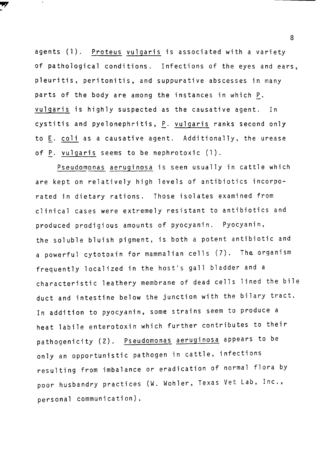agents (1). Proteus vulgaris is associated with a variety of pathological conditions. Infections of the eyes and ears, pleuritis, peritonitis, and suppurative abscesses in many parts of the body are among the instances in which P. vulgaris is highly suspected as the causative agent. In cystitis and pyelonephritis, P. vulgaris ranks second only to E. coli as a causative agent. Additionally, the urease of P. vulgaris seems to be nephrotoxic (1).

Pseudomonas aeruginosa is seen usually in cattle which are kept on relatively high levels of antibiotics incorporated in dietary rations. Those isolates examined from clinical cases were extremely resistant to antibiotics and produced prodigious amounts of pyocyanin. Pyocyanin, the soluble bluish pigment, is both a potent antibiotic and a powerful cytotoxin for mammalian cells (7). The organism frequently localized in the host's gall bladder and a characteristic leathery membrane of dead cells lined the bile duct and intestine below the junction with the bilary tract. In addition to pyocyanin, some strains seem to produce a heat labile enterotoxin which further contributes to their pathogenicity (2). Pseudomonas aeruginosa appears to be only an opportunistic pathogen in cattle, infections resulting from imbalance or eradication of normal flora by poor husbandry practices (W. Wohler, Texas Vet Lab, Inc., personal communication),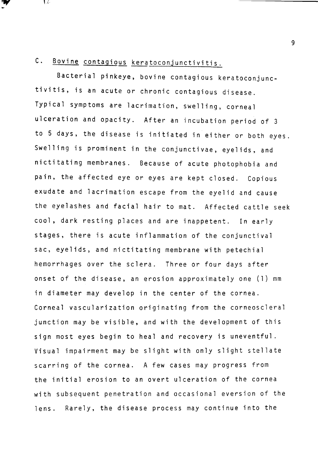## C. Bovine contagious keratoconjunctivitis.

エス・

Bacterial pinkeye, bovine contagious keratoconjunctivitis, is an acute or chronic contagious disease. Typical symptoms are lacrimation, swelling, corneal ulceration and opacity. After an incubation period of 3 to 5 days, the disease is initiated in either or both eyes. Swelling is prominent in the conjunctivae, eyelids, and nictitating membranes. Because of acute photophobia and pain, the affected eye or eyes are kept closed. Copious exudate and lacrimation escape from the eyelid and cause the eyelashes and facial hair to mat. Affected cattle seek cool, dark resting places and are inappetent. In early stages, there is acute inflammation of the conjunctival sac, eyelids, and nictitating membrane with petechial hemorrhages over the sclera. Three or four days after onset of the disease, an erosion approximately one (l) mm in diameter may develop in the center of the cornea. Corneal vascularization originating from the corneoscleral junction may be visible, and with the development of this sign most eyes begin to heal and recovery is uneventful. Visual impairment may be slight with only slight stellate scarring of the cornea. A few cases may progress from the initial erosion to an overt ulceration of the cornea with subsequent penetration and occasional eversion of the lens. Rarely, the disease process may continue into the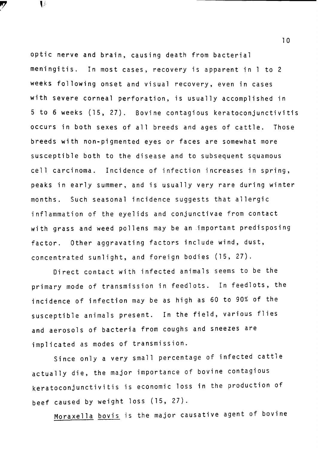optic nerve and brain, causing death from bacterial meningitis. In most cases, recovery is apparent in l to 2 weeks following onset and visual recovery, even in cases with severe corneal perforation, is usually accomplished in 5 to 6 weeks (15, 27). Bovine contagious keratoconjunctivitis occurs in both sexes of all breeds and ages of cattle. Those breeds with non-pigmented eyes or faces are somewhat more susceptible both to the disease and to subsequent squamous cell carcinoma. Incidence of infection increases in spring, peaks in early summer, and is usually very rare during winter months. Such seasonal incidence suggests that allergic inflammation of the eyelids and conjunctivae from contact with grass and weed pollens may be an important predisposing factor. Other aggravating factors include wind, dust, concentrated sunlight, and foreign bodies (15, 27).

 $\mathbf{t}$ 

Direct contact with infected animals seems to be the primary mode of transmission in feedlots. In feedlots, the incidence of infection may be as high as 60 to 90% of the susceptible animals present. In the field, various flies and aerosols of bacteria from coughs and sneezes are implicated as modes of transmission.

Since only a very small percentage of infected cattle actually die, the major importance of bovine contagious keratoconjunctivitis is economic loss in the production of beef caused by weight loss (15, 27).

Moraxella bovis is the major causative agent of bovine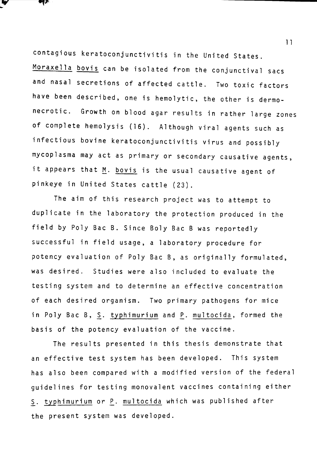contagious keratoconjunctivitis in the United States. Moraxella bovis can be isolated from the conjunctival sacs and nasal secretions of affected cattle. Two toxic factors have been described, one is hemolytic, the other is dermonecrotic. Growth on blood agar results in rather large zones of complete hemolysis (16). Although viral agents such as infectious bovine keratoconjunctivitis virus and possibly mycoplasma may act as primary or secondary causative agents, it appears that  $M$ . bovis is the usual causative agent of pinkeye in United States cattle (23).

₹Œ

The aim of this research project was to attempt to duplicate in the laboratory the protection produced in the field by Poly Bae B. Since Boly Bae B was reportedly successful in field usage, a laboratory procedure for potency evaluation of Poly Bae B, as originally formulated, was desired. Studies were also included to evaluate the testing system and to determine an effective concentration of each desired organism. Two primary pathogens for mice in Poly Bac B, S. typhimurium and P. multocida, formed the basis of the potency evaluation of the vaccine.

The results presented in this thesis demonstrate that an effective test system has been developed. This system has also been compared with a modified version of the federal guidelines for testing monovalent vaccines containing either S. typhimurium or P. multocida which was published after the present system was developed.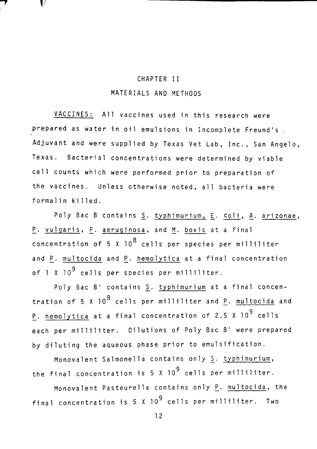## CHAPTER II MATERIALS AND METHODS

V

VACCINES: All vaccines used in this research were prepared as water in oil emulsions in Incomplete Freund's. Adjuvant and were supplied by Texas Vet Lab, Inc., San Angelo, Texas. Bacterial concentrations were determined by viable cell counts which were performed prior to preparation of the vaccines. Unless otherwise noted, all bacteria were formalin killed.

Poly Bac B contains  $S$ . typhimurium, E. coli, A. arizonae, P. vulgaris, P. aeruginosa, and M. bovis at a final concentration of 5 X  $10^8$  cells per species per milliliter and P. multocida and P. hemolytica at a final concentration of  $1 \times 10^9$  cells per species per milliliter.

Poly Bac B' contains S. typhimurium at a final concentration of 5 X  $10^8$  cells per milliliter and P. multocida and P. hemolytica at a final concentration of 2.5 X 10<sup>9</sup> cells each per milliliter. Dilutions of Poly Bac B' were prepared by diluting the aqueous phase prior to emulsification.

Monovalent Salmonella contains only  $S$ . typhimurium, the final concentration is  $5 \times 10^9$  cells per milliliter.

Monovalent Pasteurella contains only P. multocida, the final concentration is  $5 \times 10^9$  cells per milliliter. Two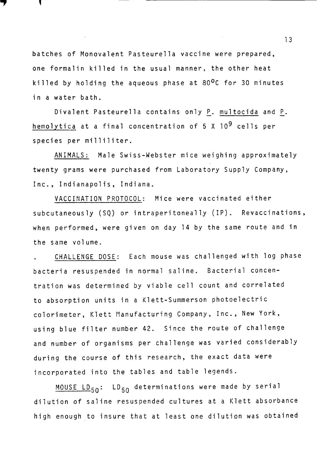batches of Monovalent Pasteurella vaccine were prepared, one formalin killed in the usual manner, the other heat killed by holding the aqueous phase at 80<sup>0</sup>C for 30 minutes in a water bath.

7

Divalent Pasteurella contains only P. multocida and P. hemolytica at a final concentration of 5 X 10<sup>9</sup> cells per species per milliliter.

ANIMALS: Male Swiss-Webster mice weighing approximately twenty grams were purchased from Laboratory Supply Company, Inc., Indianapolis, Indiana.

VACCINATION PROTOCOL: Mice were vaccinated either subcutaneously (SQ) or intraperitoneally (IP). Revaccinations, when performed, were given on day 14 by the same route and in the same volume.

CHALLENGE DOSE: Each mouse was challenged with log phase bacteria resuspended in normal saline. Bacterial concentration was determined by viable cell count\_ and correlated to absorption units in a Klett-Summerson photoelectric colorimeter, Klett Manufacturing Company, Inc., New York, using blue filter number 42. Since the route of challenge and number of organisms per challenge was varied considerably during the course of this research, the exact data were incorporated into the tables and table legends.

MOUSE  $LD_{50}$ :  $LD_{50}$  determinations were made by serial dilution of saline resuspended cultures at a Klett absorbance high enough to insure that at least one dilution was obtained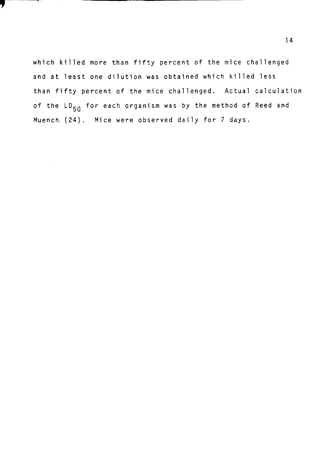which killed more than fifty percent of the mice challenged and at least one dilution was obtained which killed less than fifty percent of the mice challenged. Actual calculation of the LD<sub>50</sub> for each organism was by the method of Reed and Muench- (24). Mice were observed daily for 7 days.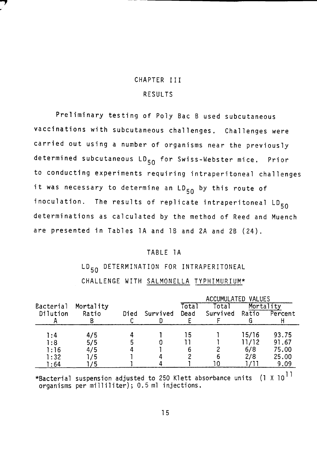## CHAPTER III RESULTS

Preliminary testing of Poly Bae B used subcutaneous vaccinations with subcutaneous challenges. Challenges were carried out using a number of organisms near the previously determined subcutaneous LD<sub>50</sub> for Swiss-Webster mice. Prior to conducting experiments requiring intraperitoneal challenges it was necessary to determine an LD<sub>50</sub> by this route of inoculation. The results of replicate intraperitoneal LD<sub>50</sub> determinations as calculated by the method of Reed and Muench are presented in Tables lA and lB and 2A and 2B (24).

#### TABLE lA

LD<sub>50</sub> DETERMINATION FOR INTRAPERITONEAL CHALLENGE WITH SALMONELLA TYPHIMURIUM\*

|                  | ACCUMULATED VALUES |      |          |       |          |           |                                          |
|------------------|--------------------|------|----------|-------|----------|-----------|------------------------------------------|
| <b>Bacterial</b> | Mortality          |      |          | Total | Total    | Mortality |                                          |
| Dilution         | Ratio              | Died | Survived | Dead  | Survived | Ratio     | Percent                                  |
|                  |                    |      |          |       |          |           |                                          |
|                  |                    |      |          |       |          |           |                                          |
| 1:4              | 4/5                |      |          | 15    |          | 15/16     | 93.75                                    |
| 1:8              | 5/5                |      |          |       |          | 11/12     | 91.67                                    |
| 1:16             | 4/5                |      |          |       |          | 6/8       | 75.00                                    |
| 1:32             | l / 5              |      |          |       |          | 2/8       | 25.00                                    |
| 1:64             | 75                 |      |          |       |          |           | 9.09                                     |
|                  |                    |      |          |       |          |           | $\bullet$ $ \bullet$ $\bullet$ $\bullet$ |

\*Bacterial suspension adjusted to 250 Klett absorbance units  $\,$  (1 X 10 $^{11}$ organisms per milliliter); 0.5 ml injections.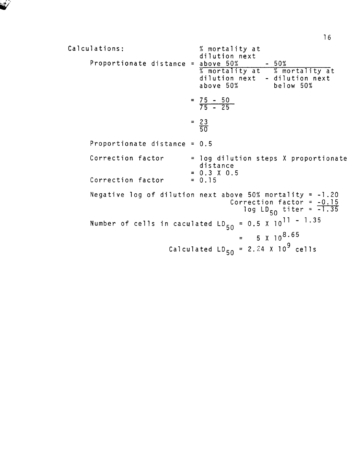```
Calculations: 
     Proportionate distance = above 50%
                                 % mortality at
                                 dilution next 
                                  % mortality at 
% mortality at - dilution next 
                                 dilution next 
                                 above SO% 
                               = 75 - 5075 - 25 
                               = 2350 
                                                  -50%below SO% 
     Proportionate distance = 0.5 
     Correction factor 
     Correction factor 
                               = log dilution steps X proportionate 
                                 distance 
                               = 0.3 x 0.5 
                               = 0.15 
     Negative log of dilution next above 50% mortality = -1.20Correction factor = -0. 15 
                                             log LD<sub>50</sub> titer = -1.35Number of cells in caculated LD_{50} = 0.5 \times 10^{11} - 1.35= 5 x 10<sup>8.65</sup>
                         Calculated LD_{50} = 2.24 \times 10^9 cells
```
l 6

*.;/*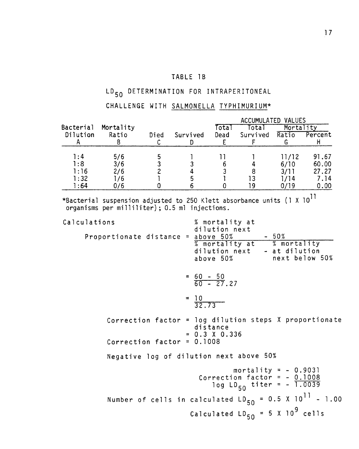#### TABLE 1B

# LD<sub>50</sub> DETERMINATION FOR INTRAPERITONEAL

## CHALLENGE WITH SALMONELLA TYPHIMURIUM\*

|                       |                    |      |          |              | ACCUMULATED VALUES<br>Mortality |       |         |  |  |  |
|-----------------------|--------------------|------|----------|--------------|---------------------------------|-------|---------|--|--|--|
| Bacterial<br>Dilution | Mortality<br>Ratio | Died | Survived | ⊺ota<br>Dead | Tota<br>Survived                | Ratio | Percent |  |  |  |
| 1:4                   | 5/6                |      |          |              |                                 | 11/12 | 91,67   |  |  |  |
| 1:8                   | 3/6                |      |          |              |                                 | 6/10  | 60.00   |  |  |  |
| 1:16                  | 2/6                |      |          |              |                                 | 3/11  | 27.27   |  |  |  |
| 1:32                  | /6                 |      |          |              |                                 |       | 7.14    |  |  |  |
| l:64                  | J/6                |      |          |              | ۱Q                              |       | 0.00    |  |  |  |

\*Bacterial organisms suspension adjusted to 250 Klett absorbance units (1 X  $10^{11}\,$ per milliliter); 0.5 ml injections.

| Calculations                       | % mortality at<br>dilution next                                                                 |
|------------------------------------|-------------------------------------------------------------------------------------------------|
| Proportionate distance = above 50% | $-50%$<br>% mortality at % mortality<br>dilution next - at dilution<br>above 50% next below 50% |
|                                    | $=\frac{60-50}{60-27.27}$                                                                       |
|                                    | $=\frac{10}{32.73}$                                                                             |
|                                    | Correction factor = $log$ dilution steps $X$ proportionate<br>distance<br>$= 0.3 \times 0.336$  |
| Correction factor = $0.1008$       |                                                                                                 |
|                                    | Negative log of dilution next above 50%                                                         |
|                                    | mortality = $- 0.9031$<br>Correction factor = $-0.1008$<br>log $LD_{50}$ titer = - 1.0039       |
|                                    | Number of cells in calculated $LD_{50} = 0.5 \times 10^{11} - 1.00$                             |
|                                    | Calculated $LD_{50} = 5 \times 10^9$ cells                                                      |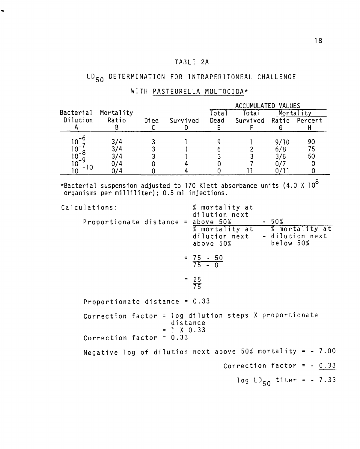## TABLE 2A

# LD<sub>50</sub> DETERMINATION FOR INTRAPERITONEAL CHALLENGE

|           |           |      |          |       | ACCUMULATED VALUES |      |               |
|-----------|-----------|------|----------|-------|--------------------|------|---------------|
| Bacterial | Mortality |      |          | Totai | Total              |      | Mortality     |
| Dilution  | Ratio     | Died | Survived | Dead  | Survived           |      | Ratio Percent |
|           |           |      |          |       |                    |      |               |
|           |           |      |          |       |                    |      |               |
|           | 3/4       |      |          |       |                    | 9/10 | 90            |
|           | 3/4       |      |          |       |                    | 6/8  | 75            |
| -0        | 374       |      |          |       |                    | 3/6  | 50            |
| .0        | 14        |      |          |       |                    |      |               |
|           |           |      |          |       |                    |      |               |

### WITH PASTEURELLA MULTOCIDA\*

\*Bacterial suspension adjusted to 170 Klett absorbance organisms per milliliter); 0.5 ml injections. units (4.0 X 10 $^8\,$ 

| Calculations:                      | % mortality at<br>dilution next                                                                    |
|------------------------------------|----------------------------------------------------------------------------------------------------|
| Proportionate distance = above 50% | $-50%$<br>% mortality at % mortality at<br>dilution next - dilution next<br>below 50%<br>above 50% |
|                                    | $= 75 - 50$<br>$\overline{75} - 0$                                                                 |
|                                    | $= 25$<br>$\frac{25}{75}$                                                                          |
| Proportionate distance = $0.33$    |                                                                                                    |
| $= 1 \times 0.33$                  | Correction factor = $log$ dilution steps $X$ proportionate<br>distance                             |
| Correction factor = $0.33$         |                                                                                                    |
|                                    | Negative log of dilution next above 50% mortality = $-7.00$                                        |
|                                    | Correction factor = $-0.33$                                                                        |
|                                    | log $LD_{50}$ titer = - 7.33                                                                       |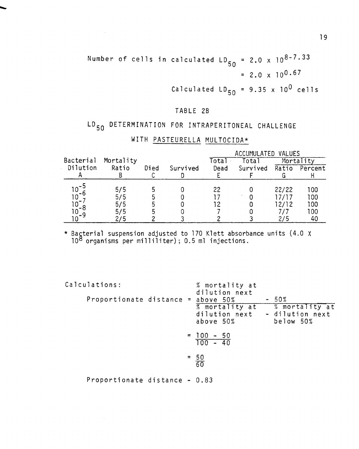Number of cells in calculated  $LD_{50} = 2.0 \times 10^{8-7.33}$  $= 2.0 \times 10^{0.67}$ 

 $\mathcal{L}^{\text{max}}_{\text{max}}$ 

Calculated  $LD_{50} = 9.35 \times 10^{0}$  cells

#### TABLE 2B

# LD<sub>50</sub> DETERMINATION FOR INTRAPERITONEAL CHALLENGE

|           |           |      |          |       | ACCUMULATED VALUES |       |               |  |  |  |  |
|-----------|-----------|------|----------|-------|--------------------|-------|---------------|--|--|--|--|
| Bacterial | Mortality |      |          | [ota] | Total              |       | Mortality     |  |  |  |  |
| Dilution  | Ratio     | Died | Survived | Dead  | Survived           |       | Ratio Percent |  |  |  |  |
|           |           |      |          |       |                    |       |               |  |  |  |  |
|           |           |      |          |       |                    |       |               |  |  |  |  |
|           | 5/5       |      |          | 22    |                    | 22/22 | 100           |  |  |  |  |
| 10.       | 5/5       |      |          |       |                    | 17/17 | 100           |  |  |  |  |
| 10        | 5/5       |      |          |       |                    | 12/12 | 100           |  |  |  |  |
| 10        | 575       |      |          |       |                    |       | 100           |  |  |  |  |
|           |           |      |          |       |                    |       |               |  |  |  |  |

### WITH PASTEURELLA MULTOCIDA\*

\* Bagterial suspension adjusted to 170 Klett absorbance units (4.0  $10<sup>8</sup>$  organisms per milliliter); 0.5 ml injections. x

| Calculations:                 | % mortality at                                                             |                                                          |
|-------------------------------|----------------------------------------------------------------------------|----------------------------------------------------------|
| Proportionate distance $=$    | dilution next<br>above 50%<br>% mortality at<br>dilution next<br>above 50% | $-50%$<br>% mortality at<br>- dilution next<br>below 50% |
|                               | $= 100 - 50$<br>$100 - 40$                                                 |                                                          |
|                               | $=$ $\frac{50}{60}$                                                        |                                                          |
| Proportionate distance - 0.83 |                                                                            |                                                          |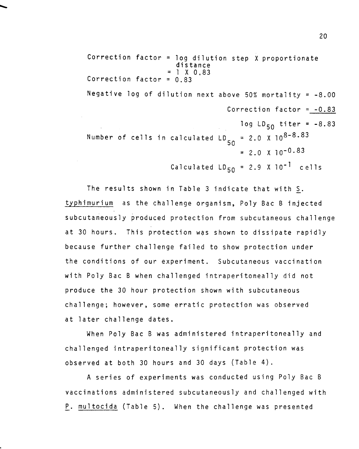```
Correction factor = log dilution step X proportionate 
                      distance 
                    = 1 X 0.83
Correction factor = 0.83 
Negative log of dilution next above 50% mortality = -8.00Correction factor = -0.83 
                                      log LD_{50} titer = -8.83
Number of cells in calculated Lo
                                    50 
                                       = 2.0 \times 10^{8-8.83}=2.0 x io-0.83 
                     Calculated LD_{50} = 2.9 \times 10^{-1} cells
```
The results shown in Table 3 indicate that with S. typhimurium as the challenge organism, Poly Bae B injected subcutaneously produced protection from subcutaneous challenge at 30 hours. This protection was shown to dissipate rapidly because further challenge failed to show protection under the conditions of our experiment. Subcutaneous vaccination with Poly Bae B when challenged intraperitoneally did not produce the 30 hour protection shown with subcutaneous challenge; however, some erratic protection was observed at later challenge dates.

When Poly Bae B was administered intraperitoneally and challenged intraperitoneally significant protection was observed at both 30 hours and 30 days (Table 4).

A series of experiments was conducted using Poly Bae B vaccinations administered subcutaneously and challenged with P. multocida (Table 5). When the challenge was presented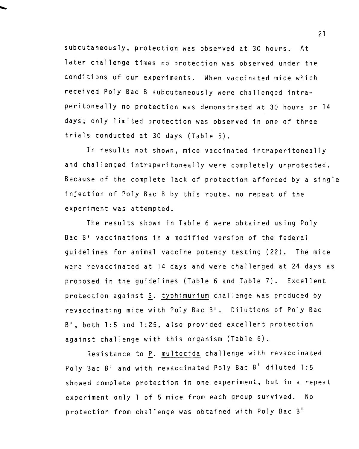subcutaneously, protection was observed at 30 hours. At later challenge times no protection was observed under the conditions of our experiments. When vaccinated mice which received Poly Bae B subcutaneously were challenged intraperitoneally no protection was demonstrated at 30 hours or 14 days; only limited protection was observed in one of three trials conducted at 30 days (Table 5).

In results not shown, mice vaccinated intraperitoneally and challenged intraperitoneally were completely unprotected. Because of the complete lack of protection afforded by a single injection of Poly Bae B by this route, no repeat of the experiment was attempted.

The results shown in Table 6 were obtained using Poly Bac B<sup>1</sup> vaccinations in a modified version of the federal guidelines for animal vaccine potency testing (22). The mice were revaccinated at 14 days and were challenged at 24 days as proposed in the guidelines (Table 6 and Table 7). Excellent protection against S. typhimurium challenge was produced by revaccinating mice with Poly Bac B'. Dilutions of Poly Bac B', both 1:5 and 1:25, also provided excellent protection against challenge with this organism (Table 6).

Resistance to P. multocida challenge with revaccinated Poly Bac B' and with revaccinated Poly Bac B' diluted 1:5 showed complete protection in one experiment, but in a repeat experiment only l of 5 mice from each group survived. No protection from challenge was obtained with Poly Bac B'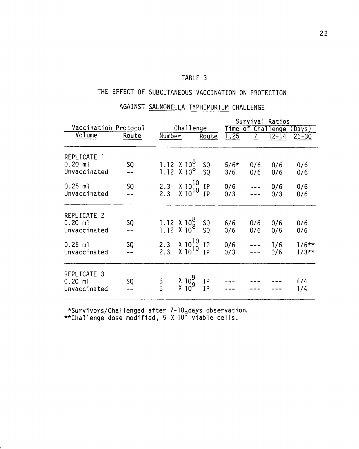# THE EFFECT OF SUBCUTANEOUS VACCINATION ON PROTECTION

AGAINST SALMONELLA TYPHIMURIUM CHALLENGE

|                                          |       |               |                                                                                                                                                                                                                                                                                                                                                       |          | Survival Ratios |                                               |                   |                    |  |  |
|------------------------------------------|-------|---------------|-------------------------------------------------------------------------------------------------------------------------------------------------------------------------------------------------------------------------------------------------------------------------------------------------------------------------------------------------------|----------|-----------------|-----------------------------------------------|-------------------|--------------------|--|--|
| Vaccination Protocol                     |       |               | Challenge                                                                                                                                                                                                                                                                                                                                             |          |                 |                                               | Time of Challenge | Days)              |  |  |
| Volume                                   | Route | Number        |                                                                                                                                                                                                                                                                                                                                                       | Route    | 1.25            | $\overline{7}$                                | $12 - 14$         | $26 - 30$          |  |  |
|                                          |       |               |                                                                                                                                                                                                                                                                                                                                                       |          |                 |                                               |                   |                    |  |  |
| REPLICATE 1<br>$0.20$ ml<br>Unvaccinated | SQ    |               | $1.12$ $\times$ $10^{8}$ $\phantom{1}$ $\phantom{1}$ $\phantom{1}$ $\phantom{1}$ $\phantom{1}$ $\phantom{1}$ $\phantom{1}$ $\phantom{1}$ $\phantom{1}$ $\phantom{1}$ $\phantom{1}$ $\phantom{1}$ $\phantom{1}$ $\phantom{1}$ $\phantom{1}$ $\phantom{1}$ $\phantom{1}$ $\phantom{1}$ $\phantom{1}$ $\phantom{1}$ $\phantom{1}$ $\phantom{1}$ $\phant$ |          | $5/6*$<br>3/6   | 0/6<br>0/6                                    | 0/6<br>0/6        | 0/6<br>0/6         |  |  |
|                                          |       |               |                                                                                                                                                                                                                                                                                                                                                       |          |                 |                                               |                   |                    |  |  |
| $0.25$ ml<br>Unvaccinated                | SQ    |               |                                                                                                                                                                                                                                                                                                                                                       |          | 0/6<br>0/3      | $---$<br>$\overline{\phantom{a}}$             | 0/6<br>0/3        | 0/6<br>0/6         |  |  |
| REPLICATE 2                              |       |               |                                                                                                                                                                                                                                                                                                                                                       |          |                 |                                               |                   |                    |  |  |
| $0.20$ ml<br>Unvaccinated                | SQ    |               | $1.12$ $X$ $10^{8}$ $SQ$<br>$1.12$ $X$ $10^{8}$ $SQ$                                                                                                                                                                                                                                                                                                  |          | 6/6<br>0/6      | 0/6<br>0/6                                    | 0/6<br>0/6        | 0/6<br>0/6         |  |  |
| $0.25$ ml<br>Unvaccinated                | SQ    |               |                                                                                                                                                                                                                                                                                                                                                       |          | 0/6<br>0/3      | $\begin{array}{c} - & - \\ - & - \end{array}$ | 1/6<br>0/6        | $1/6**$<br>$1/3**$ |  |  |
| REPLICATE 3<br>$0.20$ ml<br>Unvaccinated | SQ    | $\frac{5}{5}$ | $\begin{smallmatrix} 1 & 10 \\ 1 & 10 \\ 1 & 10 \end{smallmatrix}$                                                                                                                                                                                                                                                                                    | IP<br>IP |                 |                                               |                   | 4/4<br>1/4         |  |  |

\*Survivors/Challenged after 7-l09days observation. \*\*Challenge dose modified, 5 X 10 viable cells.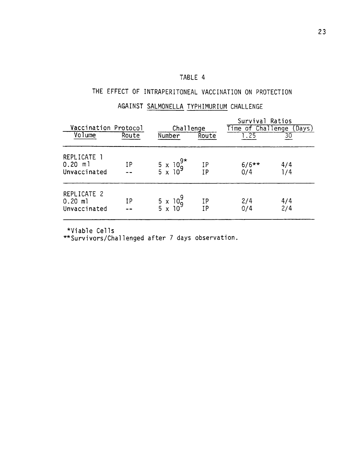## THE EFFECT OF INTRAPERITONEAL VACCINATION ON PROTECTION

## AGAINST SALMONELLA TYPHIMURIUM CHALLENGE

| Vaccination Protocol                     |       | Challenge                                 |                 | Survival Ratios<br>Time of Challenge<br>(Days) |            |  |  |
|------------------------------------------|-------|-------------------------------------------|-----------------|------------------------------------------------|------------|--|--|
| $\sqrt{0}$ lume                          | Route | Number                                    | Route           | 1.25                                           | 30         |  |  |
| REPLICATE 1<br>$0.20$ ml<br>Unvaccinated | IP    | $\frac{5 \times 10^{9}}{5 \times 10^{9}}$ | $\frac{IP}{IP}$ | $6/6**$<br>0/4                                 | 4/4<br>1/4 |  |  |
| REPLICATE 2<br>$0.20$ ml<br>Unvaccinated | ΙP    | $\frac{5 \times 10^{9}}{5 \times 10^{9}}$ | IP<br><b>IP</b> | 2/4<br>0/4                                     | 4/4<br>2/4 |  |  |

\*Viable Ce 11 s

\*\*Survivors/Challenged after 7 days observation.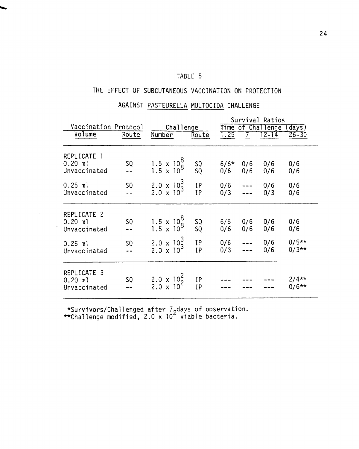### THE EFFECT OF SUBCUTANEOUS VACCINATION ON PROTECTION

### AGAINST PASTEURELLA MULTOCIDA CHALLENGE

|                                          |             |                                                   |                                                       | Survival Ratios<br>Time of Challenge |                                                |            |                     |  |  |
|------------------------------------------|-------------|---------------------------------------------------|-------------------------------------------------------|--------------------------------------|------------------------------------------------|------------|---------------------|--|--|
| Vaccination Protocol<br>Volume           | Route       | Challenge<br>Number                               | Route                                                 | 1.25                                 | $12 - 14$                                      |            | (days)<br>$26 - 30$ |  |  |
|                                          |             |                                                   |                                                       |                                      |                                                |            |                     |  |  |
| REPLICATE 1<br>$0.20$ ml<br>Unvaccinated | SQ          | $\frac{1.5 \times 10^8}{1.5 \times 10^8}$         | SQ<br>SQ                                              | $6/6*$<br>0/6                        | 0/6<br>0/6                                     | 0/6<br>0/6 | 0/6<br>0/6          |  |  |
| $0.25$ ml<br>Unvaccinated                | $SQ$<br>--  | $2.0 \times 10^3$<br>2.0 $\times 10^3$            | IP<br>IP                                              | 0/6<br>0/3                           | $\begin{array}{c} - - \\ - \\ - - \end{array}$ | 0/6<br>0/3 | 0/6<br>0/6          |  |  |
| REPLICATE 2<br>$0.20$ ml<br>Unvaccinated | SQ          | $\frac{1.5 \times 10^8}{1.5 \times 10^8}$         | SQ<br>SQ                                              | 6/6<br>0/6                           | 0/6<br>0/6                                     | 0/6<br>0/6 | 0/6<br>0/6          |  |  |
| $0.25$ ml<br>Unvaccinated                | $SO$<br>$-$ | $2.0 \times 10^3$<br>2.0 $\times$ 10 <sup>3</sup> | $\begin{array}{c} \text{IP} \\ \text{IP} \end{array}$ | $0/6$ ---<br>0/3 ---                 |                                                | 0/6<br>0/6 | $0/5**$<br>0/3**    |  |  |
| REPLICATE 3<br>$0.20$ ml<br>Unvaccinated | SQ          | $2.0 \times 10^{2}$<br>2.0 x 10 <sup>2</sup>      | IΡ<br><b>IP</b>                                       |                                      |                                                |            | $2/4**$<br>$0/6**$  |  |  |

\*Survivors/Challenged after 7 days of observation.<br>\*Challenge modified 2.0 x 10<sup>2</sup> viable bacteria \*\*Challenge modified, 2.0 x  $10<sup>2</sup>$  viable bacteria.

 $\label{eq:2.1} \frac{1}{\sqrt{2}}\int_{\mathbb{R}^3}\frac{d\mu}{\mu}\left(\frac{d\mu}{\mu}\right)^2\frac{d\mu}{\mu}\left(\frac{d\mu}{\mu}\right)^2\frac{d\mu}{\mu}\left(\frac{d\mu}{\mu}\right)^2.$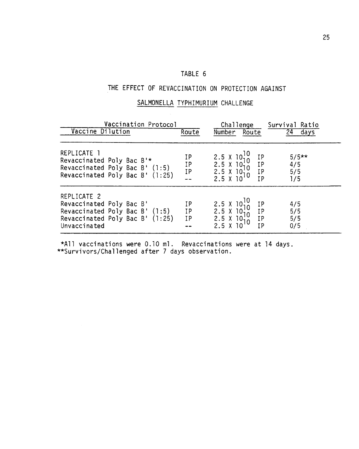### THE EFFECT OF REVACCINATION ON PROTECTION AGAINST

### SALMONELLA TYPHIMURIUM CHALLENGE

| Vaccination Protocol<br>Vaccine Dilution                                                                                     | Route                | Challenge<br>Number Route                                                                                                                                                              | Survival Ratio<br>24<br>days |
|------------------------------------------------------------------------------------------------------------------------------|----------------------|----------------------------------------------------------------------------------------------------------------------------------------------------------------------------------------|------------------------------|
| REPLICATE 1<br>Revaccinated Poly Bac B'*<br>Revaccinated Poly Bac B' (1:5)<br>Revaccinated Poly Bac B' (1:25)                | ΙP<br>IP<br>IP<br>-- | $\begin{array}{l} 2.5 \times 10^{10} \\ 2.5 \times 10^{10} \\ 2.5 \times 10^{10} \\ 2.5 \times 10^{10} \\ 2.5 \times 10^{10} \end{array}$<br>ΙP<br><b>IP</b><br><b>IP</b><br><b>IP</b> | $5/5**$<br>4/5<br>5/5<br>1/5 |
| REPLICATE 2<br>Revaccinated Poly Bac B'<br>Revaccinated Poly Bac B' (1:5)<br>Revaccinated Poly Bac B' (1:25)<br>Unvaccinated | ΙP<br>IP<br>IP       | 2.5 $\times$ 10 <sup>10</sup><br>2.5 $\times$ 10 <sup>10</sup><br>2.5 $\times$ 10 <sub>10</sub><br>IP<br>IP<br><b>IP</b><br>$2.5 \text{ X}$<br><b>IP</b><br>10                         | 4/5<br>5/5<br>5/5<br>0/5     |

\*All vaccinations were 0.10 ml. Revaccinations were at 14 days. \*\*Survivors/Challenged after 7 days observation.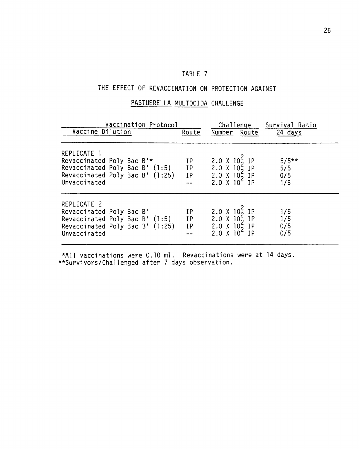## THE EFFECT OF REVACCINATION ON PROTECTION AGAINST

### PASTUERELLA MULTOCIDA CHALLENGE

| Vaccination Protocol<br>Vaccine Dilution                                                                                         | Route                                                       | Challenge<br>Number Route                                                                           | Survival Ratio<br>24 days    |
|----------------------------------------------------------------------------------------------------------------------------------|-------------------------------------------------------------|-----------------------------------------------------------------------------------------------------|------------------------------|
|                                                                                                                                  |                                                             |                                                                                                     |                              |
| REPLICATE 1<br>Revaccinated Poly Bac B'*<br>Revaccinated Poly Bac B' (1:5)<br>Revaccinated Poly Bac B' (1:25) IP<br>Unvaccinated | IΡ<br>IP                                                    | 2.0 X 10 <sup>2</sup> IP<br>2.0 X 10 <sup>2</sup> IP<br>2.0 X 10 <sub>2</sub> IP<br>$2.0 X 10^2 IP$ | $5/5**$<br>5/5<br>0/5<br>1/5 |
| REPLICATE 2<br>Revaccinated Poly Bac B'<br>Revaccinated Poly Bac B' (1:5)<br>Revaccinated Poly Bac $B'$ (1:25)<br>Unvaccinated   | ΙP<br>$\begin{array}{c} \text{IP} \\ \text{IP} \end{array}$ | 2.0 X $10^{2}$ IP<br>2.0 X $10^{2}$ IP<br>2.0 X 10 <sup>2</sup> IP<br>$2.0 \times 10^4$ IP          | 1/5<br>1/5<br>0/5<br>0/5     |

\*All vaccinations were 0.10 ml. Revaccinations were at 14 days. \*\*Survivors/Challenged after 7 days observation.

 $\mathcal{L}^{\mathcal{L}}$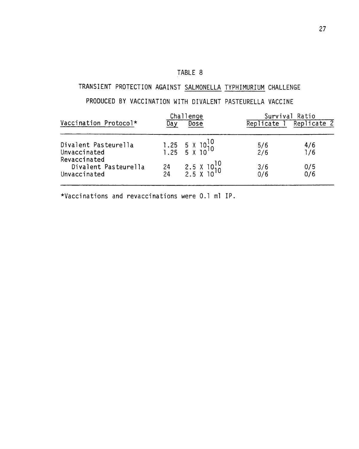# TRANSIENT PROTECTION AGAINST SALMONELLA TYPHIMURIUM CHALLENGE

# PRODUCED BY VACCINATION WITH DIVALENT PASTEURELLA VACCINE

|                              |     | Challenge                                                                               |           | Survival Ratio |
|------------------------------|-----|-----------------------------------------------------------------------------------------|-----------|----------------|
| Vaccination Protocol*        | Day | Dose                                                                                    | Replicate | Replicate 2    |
| Divalent Pasteurella         |     |                                                                                         | 5/6       | 4/6            |
| Unvaccinated<br>Revaccinated |     | $\begin{array}{ccc} 1.25 & 5 & 10^{10} \\ 1.25 & 5 & 10^{10} \end{array}$               | 2/6       | 1/6            |
| Divalent Pasteurella         |     | $\begin{array}{cc}\n 24 & 2.5 \times 10^{10} \\  24 & 2.5 \times 10^{10}\n \end{array}$ | 3/6       | $\frac{0}{5}$  |
| Unvaccinated                 |     |                                                                                         | 0/6       |                |

\*Vaccinations and revaccinations were 0.1 ml IP.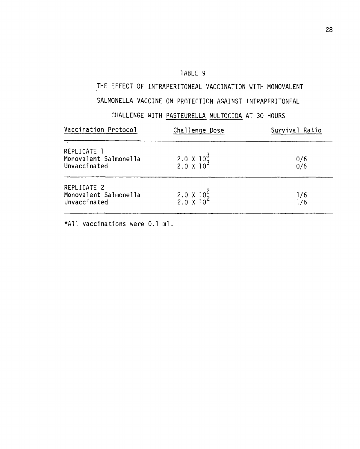### THE EFFECT OF INTRAPERITONEAL VACCINATION WITH MONOVALENT

#### SALMONELLA VACCINE ON PROTECTION AGAINST INTRAPFRITONFAL

#### rHALLENGE WITH PASTEURELLA MULTOCIDA AT 30 HOURS

| Vaccination Protocol                                 | Challenge Dose                               | Survival Ratio |
|------------------------------------------------------|----------------------------------------------|----------------|
| REPLICATE 1<br>Monovalent Salmonella<br>Unvaccinated | $2.0 \times 10^3$<br>2.0 X 10 <sup>3</sup>   | 0/6<br>0/6     |
| REPLICATE 2<br>Monovalent Salmonella<br>Unvaccinated | $2.0 \times 10^{2}$<br>2.0 X 10 <sup>2</sup> | 1/6<br>1/6     |

\*All vaccinations were 0.1 ml.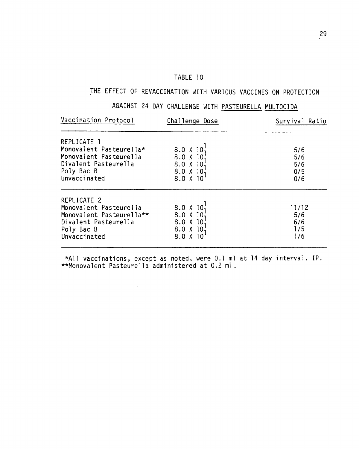# THE EFFECT OF REVACCINATION WITH VARIOUS VACCINES ON PROTECTION

# AGAINST 24 DAY CHALLENGE WITH PASTEURELLA MULTOCIDA

| Vaccination Protocol                              | Challenge Dose       | Survival Ratio |
|---------------------------------------------------|----------------------|----------------|
| REPLICATE 1                                       |                      |                |
| Monovalent Pasteurella*<br>Monovalent Pasteurella | 8.0 X 10<br>8.0 X 10 | 5/6<br>5/6     |
| Divalent Pasteurella                              | 8.0 X 10             | 5/6            |
| Poly Bac B                                        | 8.0 X 10             | 0/5            |
| Unvaccinated                                      | 8.0 X 10             | 0/6            |
| REPLICATE 2                                       |                      |                |
| Monovalent Pasteurella                            | 8.0 X 10             | 11/12          |
| Monovalent Pasteurella**                          | 8.0 X 10             | 5/6            |
| Divalent Pasteurella                              | 8.0 X 10             | 6/6            |
| Poly Bac B                                        | 8.0 X 10             | 1/5            |
| Unvaccinated                                      | 8.0 X                | 1/6            |

\*All vaccinations, except as noted, were 0.1 ml at 14 day interval, IP. \*\*Monovalent Pasteurella administered at 0.2 ml.

 $\sim 10^{-1}$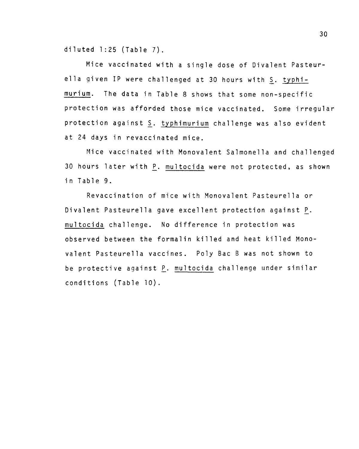diluted  $1:25$  (Table 7).

Mice vaccinated with a single dose of Divalent Pasteurella given IP were challenged at 30 hours with S. typhimurium. The data in Table 8 shows that some non-specific protection was afforded those mice vaccinated. Some irregular protection against S. typhimurium challenge was also evident at 24 days in revaccinated mice.

Mice vaccinated with Monovalent Salmonella and challenged 30 hours later with P. multocida were not protected, as shown in Table 9.

Revaccination of mice with Monovalent Pasteurella or Divalent Pasteurella gave excellent protection against P. multocida challenge. No difference in protection was observed between the formalin killed and heat killed Monovalent Pasteurella vaccines. Poly Bae B was not shown to be protective against *t.* multocida challenge under similar conditions (Table 10).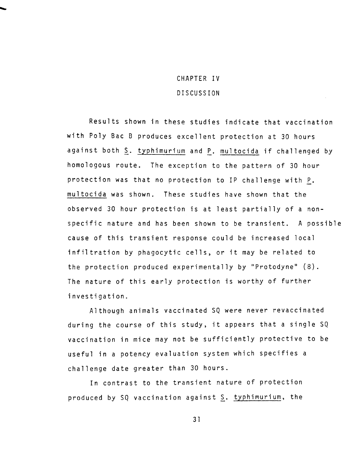# CHAPTER IV DISCUSSION

Results shown in these studies indicate that vaccination with Poly Bae B produces excellent protection at 30 hours against both S. typhimurium and P. multocida if challenged by homologous route. The exception to the pattern of 30 hour protection was that no protection to IP challenge with P. multocida was shown. These studies have shown that the observed 30 hour protection is at least partially of a nonspecific nature and has been shown to be transient. A possible cause of this transient response could be increased local infiltration by phagocytic cells, or it may be related to the protection produced experimentally by "Protodyne" (8). The nature of this early protection is worthy of further investigation.

Although animals vaccinated SQ were never revaccinated during the course of this study, it appears that a single SQ vaccination in mice may not be sufficiently protective to be useful in a potency evaluation system which specifies a challenge date greater than 30 hours.

In contrast to the transient nature of protection produced by SQ vaccination against S. typhimurium, the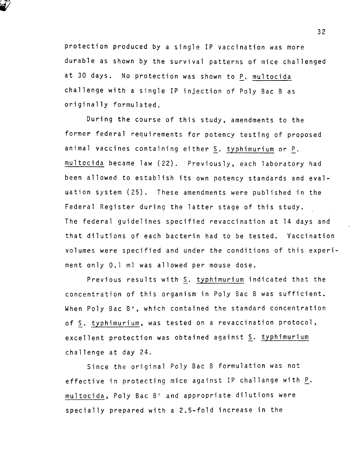protection produced by a single IP vaccination was more durable as shown by the survival patterns of mice challenged at 30 days. No protection was shown to P. multocida challenge with a single IP injection of Poly Bae Bas originally formulated.

During the course of this study, amendments to the former federal requirements for potency testing of proposed animal vaccines containing either S. typhimurium or P. multocida became law (22). Previously, each laboratory had been allowed to establish its own potency standards and evaluation system (25). These amendments were published in the Federal Register during the latter stage of this study. The federal guidelines specified revaccination at 14 days and that dilutions of each bacterin had to be tested. Vaccination volumes were specified and under the conditions of this experiment only 0.1 ml was allowed per mouse dose.

Previous results with S. typhimurium indicated that the concentration of this organism in Poly Bae B was sufficient. When Poly Bae B', which contained the standard concentration of S. typhimurium, was tested on a revaccination protocol, excellent protection was obtained against S. typhimurium challenge at day 24.

Since the original Poly Bae B formulation was not effective in protecting mice against IP challange with  $\underline{P}$ . multocida, Poly Bae B' and appropriate dilutions were specially prepared with a 2.5-fold increase in the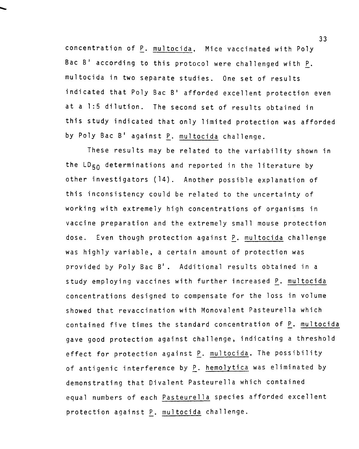concentration of P. multocida, Mice vaccinated with Poly Bac B' according to this protocol were challenged with  $\underline{P}$ . multocida in two separate studies. One set of results indicated that Poly Bae B' afforded excellent protection even at a 1:5 dilution. The second set of results obtained in this study indicated that only limited protection was afforded by Poly Bae B' against P. multocida challenge.

These results may be related to the variability shown in the LD<sub>50</sub> determinations and reported in the literature by other investigators (14). Another possible explanation of this inconsistency could be related to the uncertainty of working with extremely high concentrations of organisms in vaccine preparation and the extremely small mouse protection dose. Even though protection against P. multocida challenge was highly variable, a certain amount of protection was provided by Poly Bae B'. Additional results obtained in a study employing vaccines with further increased P. multocida concentrations designed to compensate for the loss in volume showed that revaccination with Monovalent Pasteurella which contained five times the standard concentration of P. multocida gave good protection against challenge, indicating a threshold effect for protection against P. multocida. The possibility of antigenic interference by P. hemolytica was eliminated by demonstrating that Divalent Pasteurella which contained equal numbers of each Pasteurella species afforded excellent protection against P. multocida challenge.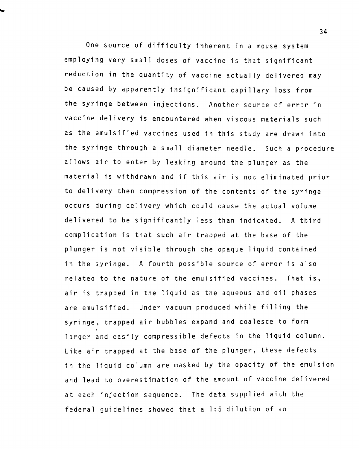One source of difficulty inherent in a mouse system employing very small doses of vaccine is that significant reduction in the quantity of vaccine actually delivered may be caused by apparently insignificant capillary loss from the syringe between injections. Another source of error in vaccine delivery is encountered when viscous materials such as the emulsified vaccines used in this study are drawn into the syringe through a small diameter needle. Such a procedure allows air to enter by leaking around the plunger as the material is withdrawn and if this air is not eliminated prior to delivery then compression of the contents of the syringe occurs during delivery which could cause the actual volume delivered to be significantly less than indicated. A third complication is that such air trapped at the base of the plunger is not visible through the opaque liquid contained in the syringe. A fourth possible source of error is also related to the nature of the emulsified vaccines. That is, air is trapped in the liquid as the aqueous and oil phases are emulsified. Under vacuum produced while filling the syringe, trapped air bubbles expand and coalesce to form larger and easily compressible defects in the liquid column. Like air trapped at the base of the plunger, these defects in the liquid column are masked by the opacity of the emulsion and lead to overestimation of the amount of vaccine delivered at each injection sequence. The data supplied with the federal guidelines showed that a 1:5 dilution of an

34

....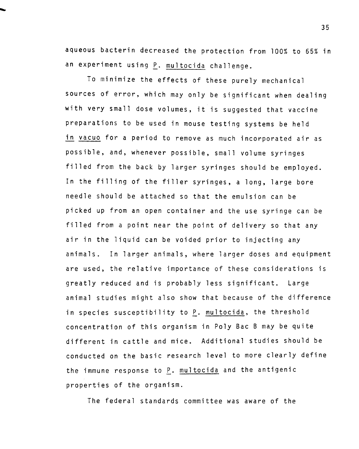aqueous bacterin decreased the protection from 100% to 65% in an experiment using P. multocida challenge.

To minimize the effects of these purely mechanical sources of error, which may only be significant when dealing with very small dose volumes, it is suggested that vaccine preparations to be used in mouse testing systems be held in vacuo for a period to remove as much incorporated air as possible, and, whenever possible, small volume syringes filled from the back by larger syringes should be employed. In the filling of the filler syringes, a long, large bore needle should be attached so that the emulsion can be picked up from an open container and the use syringe can be filled from a point near the point of delivery so that any air in the liquid can be voided prior to injecting any animals. In larger animals, where larger doses and equipment are used, the relative importance of these considerations is greatly reduced and is probably less significant. Large animal studies might also show that because of the difference in species susceptibility to P. multocida, the threshold concentration of this organism in Poly Bae B may be quite different in cattle and mice. Additional studies should be conducted on the basic research level to more clearly define the immune response to P. multocida and the antigenic properties of the organism.

The federal standards committee was aware of the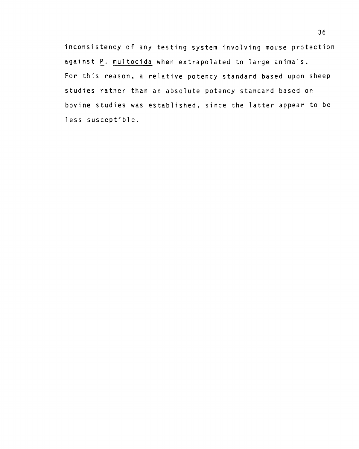inconsistency of any testing system involving mouse protection against P. multocida when extrapolated to large animals. For this reason, a relative potency standard based upon sheep studies rather than an absolute potency standard based on bovine studies was established, since the latter appear to be less susceptible.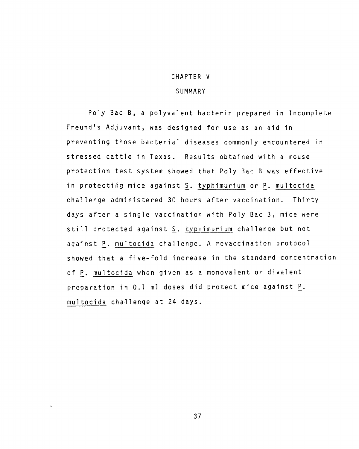## CHAPTER V **SUMMARY**

Poly Bae B, a polyvalent bacterin prepared in Incomplete Freund's Adjuvant, was designed for use as an aid in preventing those bacterial diseases commonly encountered in stressed cattle in Texas. Results obtained with a mouse protection test system showed that Poly Bae B was effective in protecting mice against S. typhimurium or P. multocida challenge administered 30 hours after vaccination. Thirty days after a single vaccination with Poly Bae B, mice were still protected against S. typhimurium challenge but not against P. multocida challenge. A revaccination protocol showed that a five-fold increase in the standard concentration of P. multocida when given as a monovalent or divalent preparation in  $0.1$  ml doses did protect mice against  $P$ . multocida cha-llenge at 24 days.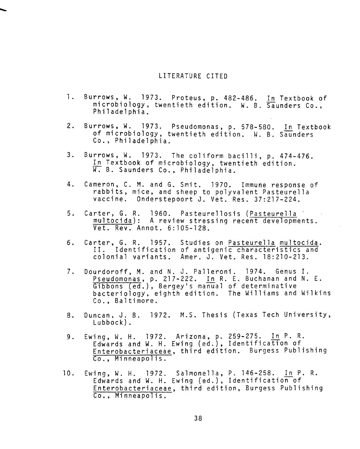#### LITERATURE CITED

- 1. Burrows, W. 1973. Proteus, p. 482-486. In Textbook of microbiology, twentieth edition. W. B. Saunders Co., Philadelphia.
- 2. Burrows, W. 1973. Pseudomonas, p. 578-580. In Textbook of microbiology, twentieth edition. W. B. Saunders Co., Philadelphia.
- 3. Burrows, W. 1973. The coliform bacilli, p. 474-476. In Textbook of microbiology, twentieth edition. W. B. Saunders Co., Philadelphia.
- 4. Cameron, C. M. and G. Smit. 1970. Immune response of rabbits, mice, and sheep to polyvalent Pasteurella vaccine. Onderstepoort J. Vet. Res. 37:217-224.
- 5. Carter, G. R. 1960. Pasteurellosis (Pasteurella multocida): A review stressing recent developments. Vet. Rev. Annot. 6:105-128.
- 6. Carter, G. R. 1957. Studies on Pasteurella multocida. II. Identification of antigenic characteristics and colonial variants. Amer. J. Vet. Res. 18:210-213.
- 7. Dourdoroff, M. and N. J. Palleroni. 1974. Genus I. Pseudomonas, p. 217-222. In R. E. Buchanan and N. E. Gibbons (ed.), Bergey's manual of determinative bacteriology, eighth edition. The Williams and Wilkins Co., Baltimore.
- 8. Duncan, J. B. 1972. M.S. Thesis (Texas Tech University, Lubbock).
- 9. Ewing, W. H. 1972. Arizona, p. 259-275. In P. R. Edwards and W. H. Ewing (ed.), Identification of Enterobacteriaceae, third edition. Burgess Publishing Co., Minneapolis.
- 10. Ewing, W. H. 1972. Salmonella, P. 146-258. In P. R. Edwards and W. H. Ewing (ed.), Identification of Enterobacteriaceae, third edition, Burgess Publishing Co., Minneapolis.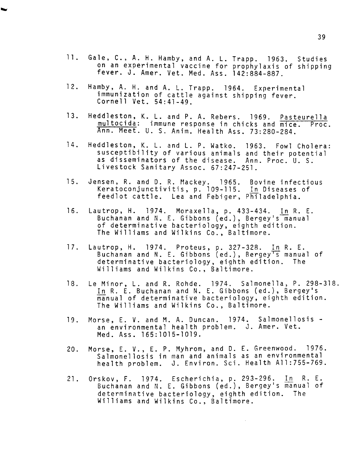- 11. Gale, C., A. H. Hamby, and A. L. Trapp. 1963. Studies on an experimental vaccine for prophylaxis of shipping fever. J. Amer. Vet. Med. Ass. 142:884-887.
- 12. Hamby, A. H. and A. L. Trapp. 1964. Experimental immunization of cattle against shipping fever. Cornell Vet. 54:41-49.
- 13. Heddleston, K. L. and P. A. Rebers. 1969. Pasteurella multocida: immune response in chicks and mice. Proc. Ann. Meet. U. S. Anim. Health Ass. 73:280-284.
- 14. Heddlesten, K. L. and L. P. Watko. 1963. Fowl Cholera: susceptibility of various animals and their potential as disseminators of the disease. Ann. Proc. U. S. Livestock Sanitary Assoc. 67:247-251.
- 15. Jensen, R. and D. R. Mackey. 1965. Bovine infectious Keratoconjunctivitis, p. 109-115. In Diseases of feedlot cattle. Lea and Febiger, Philadelphia.
- 16. Lautrop, H. 1974. Moraxella, p. 433-434. In R. E. Buchanan and N. E. Gibbons (ed.), Bergey's manual of determinative bacteriology, eighth edition. The Williams and Wilkins Co., Baltimore.
- 17. Lautrop, H. 1974. Proteus, p. 327-328. In R. E. Buchanan and N. E. Gibbons (ed.), Bergey<sup>T</sup>s manual of determinative bacteriology, eighth edition. The Williams and Wilkins Co., Baltimore.
- 18. Le Minor, L. and R. Rohde. 1974. Salmonella, P. 298-318. In R. E. Buchanan and N. E. Gibbons (ed.), Bergey's manual of determinative bacteriology, eighth edition. The Williams and Wilkins Co., Baltimore.
- 19. Morse, E. V. and M. A. Duncan. 1974. Salmonellosis an environmental health problem. J. Amer. Vet. Med. Ass. 165:1015-1019.
- 20. Morse, E. V., E. P. Myhrom, and D. E. Greenwood. 1976. Salmonellosis in man and animals as an environmental health problem. J. Environ. Sci. Health All:755-769.
- 21. Orskov, F. 1974. Escherichia, p. 293-296. In R. E. Buchanan and N. E. Gibbons (ed.), Bergey's manual of determinative bacteriology, eighth edition. The Williams and Wilkins Co., Baltimore.

 $\bar{z}$